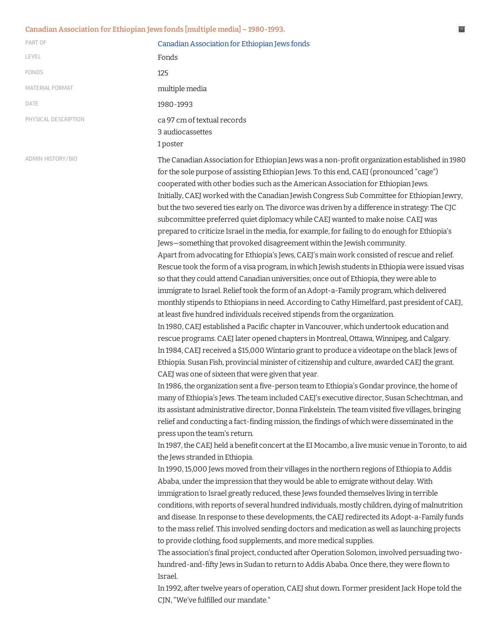## **Canadian Association for Ethiopian Jews fonds [multiple media] − 1980-1993. Canadian Association for Ethiopian Jews fonds [multiple media] − 1980-1993.**

| PART OF                  | Canadian Association for Ethiopian Jews fonds                                                                                                                                                                                                                                                                                                                                                                                                                                                                                                                                                                                                                                                                                                                                                                                                                                                                                                                                                                                                                                                                                                                                                                                                                                                                                                                                                                                                                                                                                                                                                                                                                                                                                                                                                                                                                                                                                                                                                                                                                                                                                                                                                                                                                                                                                                                                                                                                                                                                                                                                                                                                                                                                                                                                                                                                                                                                                                                                                                                                                                                                                                                                                                                                                                                                                                              |
|--------------------------|------------------------------------------------------------------------------------------------------------------------------------------------------------------------------------------------------------------------------------------------------------------------------------------------------------------------------------------------------------------------------------------------------------------------------------------------------------------------------------------------------------------------------------------------------------------------------------------------------------------------------------------------------------------------------------------------------------------------------------------------------------------------------------------------------------------------------------------------------------------------------------------------------------------------------------------------------------------------------------------------------------------------------------------------------------------------------------------------------------------------------------------------------------------------------------------------------------------------------------------------------------------------------------------------------------------------------------------------------------------------------------------------------------------------------------------------------------------------------------------------------------------------------------------------------------------------------------------------------------------------------------------------------------------------------------------------------------------------------------------------------------------------------------------------------------------------------------------------------------------------------------------------------------------------------------------------------------------------------------------------------------------------------------------------------------------------------------------------------------------------------------------------------------------------------------------------------------------------------------------------------------------------------------------------------------------------------------------------------------------------------------------------------------------------------------------------------------------------------------------------------------------------------------------------------------------------------------------------------------------------------------------------------------------------------------------------------------------------------------------------------------------------------------------------------------------------------------------------------------------------------------------------------------------------------------------------------------------------------------------------------------------------------------------------------------------------------------------------------------------------------------------------------------------------------------------------------------------------------------------------------------------------------------------------------------------------------------------------------------|
| LEVEL                    | Fonds                                                                                                                                                                                                                                                                                                                                                                                                                                                                                                                                                                                                                                                                                                                                                                                                                                                                                                                                                                                                                                                                                                                                                                                                                                                                                                                                                                                                                                                                                                                                                                                                                                                                                                                                                                                                                                                                                                                                                                                                                                                                                                                                                                                                                                                                                                                                                                                                                                                                                                                                                                                                                                                                                                                                                                                                                                                                                                                                                                                                                                                                                                                                                                                                                                                                                                                                                      |
| FONDS                    | 125                                                                                                                                                                                                                                                                                                                                                                                                                                                                                                                                                                                                                                                                                                                                                                                                                                                                                                                                                                                                                                                                                                                                                                                                                                                                                                                                                                                                                                                                                                                                                                                                                                                                                                                                                                                                                                                                                                                                                                                                                                                                                                                                                                                                                                                                                                                                                                                                                                                                                                                                                                                                                                                                                                                                                                                                                                                                                                                                                                                                                                                                                                                                                                                                                                                                                                                                                        |
| MATERIAL FORMAT          | multiple media                                                                                                                                                                                                                                                                                                                                                                                                                                                                                                                                                                                                                                                                                                                                                                                                                                                                                                                                                                                                                                                                                                                                                                                                                                                                                                                                                                                                                                                                                                                                                                                                                                                                                                                                                                                                                                                                                                                                                                                                                                                                                                                                                                                                                                                                                                                                                                                                                                                                                                                                                                                                                                                                                                                                                                                                                                                                                                                                                                                                                                                                                                                                                                                                                                                                                                                                             |
| DATE                     | 1980-1993                                                                                                                                                                                                                                                                                                                                                                                                                                                                                                                                                                                                                                                                                                                                                                                                                                                                                                                                                                                                                                                                                                                                                                                                                                                                                                                                                                                                                                                                                                                                                                                                                                                                                                                                                                                                                                                                                                                                                                                                                                                                                                                                                                                                                                                                                                                                                                                                                                                                                                                                                                                                                                                                                                                                                                                                                                                                                                                                                                                                                                                                                                                                                                                                                                                                                                                                                  |
| PHYSICAL DESCRIPTION     | ca 97 cm of textual records<br>3 audiocassettes<br>1 poster                                                                                                                                                                                                                                                                                                                                                                                                                                                                                                                                                                                                                                                                                                                                                                                                                                                                                                                                                                                                                                                                                                                                                                                                                                                                                                                                                                                                                                                                                                                                                                                                                                                                                                                                                                                                                                                                                                                                                                                                                                                                                                                                                                                                                                                                                                                                                                                                                                                                                                                                                                                                                                                                                                                                                                                                                                                                                                                                                                                                                                                                                                                                                                                                                                                                                                |
| <b>ADMIN HISTORY/BIO</b> | The Canadian Association for Ethiopian Jews was a non-profit organization established in 1980<br>for the sole purpose of assisting Ethiopian Jews. To this end, CAEJ (pronounced "cage")<br>cooperated with other bodies such as the American Association for Ethiopian Jews.<br>Initially, CAEJ worked with the Canadian Jewish Congress Sub Committee for Ethiopian Jewry,<br>but the two severed ties early on. The divorce was driven by a difference in strategy: The CJC<br>subcommittee preferred quiet diplomacy while CAEJ wanted to make noise. CAEJ was<br>prepared to criticize Israel in the media, for example, for failing to do enough for Ethiopia's<br>Jews-something that provoked disagreement within the Jewish community.<br>Apart from advocating for Ethiopia's Jews, CAEJ's main work consisted of rescue and relief.<br>Rescue took the form of a visa program, in which Jewish students in Ethiopia were issued visas<br>so that they could attend Canadian universities; once out of Ethiopia, they were able to<br>immigrate to Israel. Relief took the form of an Adopt-a-Family program, which delivered<br>monthly stipends to Ethiopians in need. According to Cathy Himelfard, past president of CAEJ,<br>at least five hundred individuals received stipends from the organization.<br>In 1980, CAEJ established a Pacific chapter in Vancouver, which undertook education and<br>rescue programs. CAEJ later opened chapters in Montreal, Ottawa, Winnipeg, and Calgary.<br>In 1984, CAEJ received a \$15,000 Wintario grant to produce a videotape on the black Jews of<br>Ethiopia. Susan Fish, provincial minister of citizenship and culture, awarded CAEJ the grant.<br>CAEJ was one of sixteen that were given that year.<br>In 1986, the organization sent a five-person team to Ethiopia's Gondar province, the home of<br>many of Ethiopia's Jews. The team included CAEJ's executive director, Susan Schechtman, and<br>its assistant administrative director, Donna Finkelstein. The team visited five villages, bringing<br>relief and conducting a fact-finding mission, the findings of which were disseminated in the<br>press upon the team's return.<br>In 1987, the CAEJ held a benefit concert at the EI Mocambo, a live music venue in Toronto, to aid<br>the Jews stranded in Ethiopia.<br>In 1990, 15,000 Jews moved from their villages in the northern regions of Ethiopia to Addis<br>Ababa, under the impression that they would be able to emigrate without delay. With<br>immigration to Israel greatly reduced, these Jews founded themselves living in terrible<br>conditions, with reports of several hundred individuals, mostly children, dying of malnutrition<br>and disease. In response to these developments, the CAEJ redirected its Adopt-a-Family funds<br>to the mass relief. This involved sending doctors and medication as well as launching projects<br>to provide clothing, food supplements, and more medical supplies.<br>The association's final project, conducted after Operation Solomon, involved persuading two-<br>hundred-and-fifty Jews in Sudan to return to Addis Ababa. Once there, they were flown to<br>Israel.<br>In 1992, after twelve years of operation, CAEJ shut down. Former president Jack Hope told the<br>CJN, "We've fulfilled our mandate." |